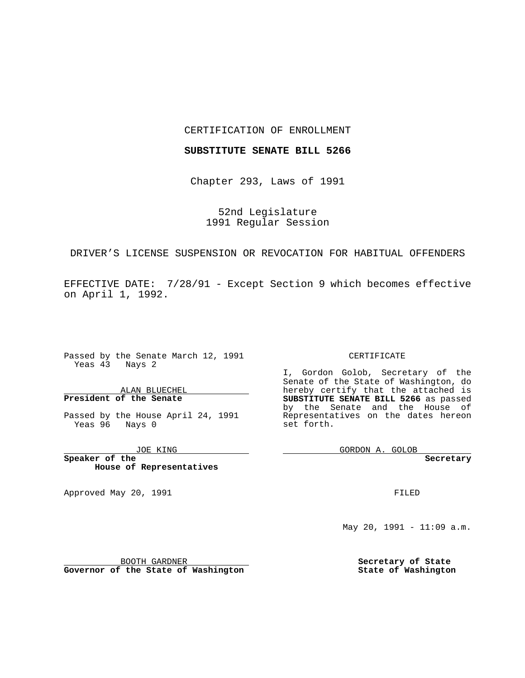### CERTIFICATION OF ENROLLMENT

## **SUBSTITUTE SENATE BILL 5266**

Chapter 293, Laws of 1991

52nd Legislature 1991 Regular Session

DRIVER'S LICENSE SUSPENSION OR REVOCATION FOR HABITUAL OFFENDERS

EFFECTIVE DATE: 7/28/91 - Except Section 9 which becomes effective on April 1, 1992.

 $\frac{1}{2}$  . The set of  $\mathcal{O}(\mathbb{R}^d)$ 

Passed by the Senate March 12, 1991 Yeas  $4\overline{3}$  Nays 2

ALAN BLUECHEL **President of the Senate**

Passed by the House April 24, 1991 Yeas 96 Nays 0

JOE KING

**Speaker of the House of Representatives**

BOOTH GARDNER **Governor of the State of Washington**

Approved May 20, 1991

#### CERTIFICATE

I, Gordon Golob, Secretary of the Senate of the State of Washington, do hereby certify that the attached is **SUBSTITUTE SENATE BILL 5266** as passed by the Senate and the House of Representatives on the dates hereon set forth.

GORDON A. GOLOB

**Secretary**

FILED

May 20, 1991 - 11:09 a.m.

**Secretary of State State of Washington**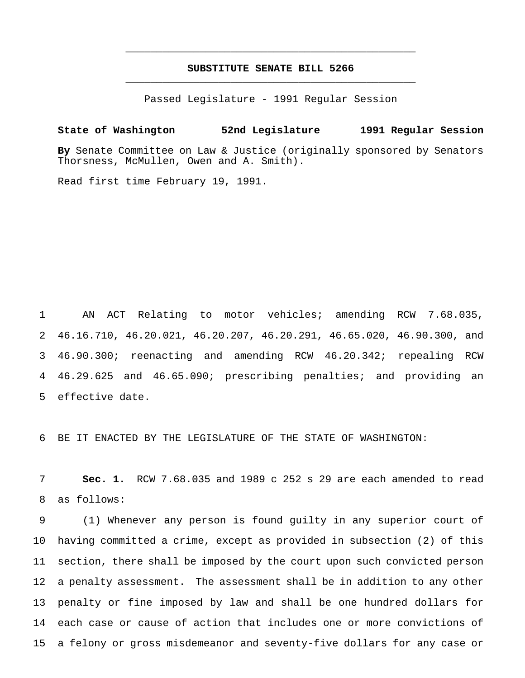# **SUBSTITUTE SENATE BILL 5266** \_\_\_\_\_\_\_\_\_\_\_\_\_\_\_\_\_\_\_\_\_\_\_\_\_\_\_\_\_\_\_\_\_\_\_\_\_\_\_\_\_\_\_\_\_\_\_

\_\_\_\_\_\_\_\_\_\_\_\_\_\_\_\_\_\_\_\_\_\_\_\_\_\_\_\_\_\_\_\_\_\_\_\_\_\_\_\_\_\_\_\_\_\_\_

Passed Legislature - 1991 Regular Session

**State of Washington 52nd Legislature 1991 Regular Session By** Senate Committee on Law & Justice (originally sponsored by Senators Thorsness, McMullen, Owen and A. Smith).

Read first time February 19, 1991.

 AN ACT Relating to motor vehicles; amending RCW 7.68.035, 46.16.710, 46.20.021, 46.20.207, 46.20.291, 46.65.020, 46.90.300, and 46.90.300; reenacting and amending RCW 46.20.342; repealing RCW 46.29.625 and 46.65.090; prescribing penalties; and providing an effective date.

BE IT ENACTED BY THE LEGISLATURE OF THE STATE OF WASHINGTON:

 **Sec. 1.** RCW 7.68.035 and 1989 c 252 s 29 are each amended to read as follows:

 (1) Whenever any person is found guilty in any superior court of having committed a crime, except as provided in subsection (2) of this section, there shall be imposed by the court upon such convicted person a penalty assessment. The assessment shall be in addition to any other penalty or fine imposed by law and shall be one hundred dollars for each case or cause of action that includes one or more convictions of a felony or gross misdemeanor and seventy-five dollars for any case or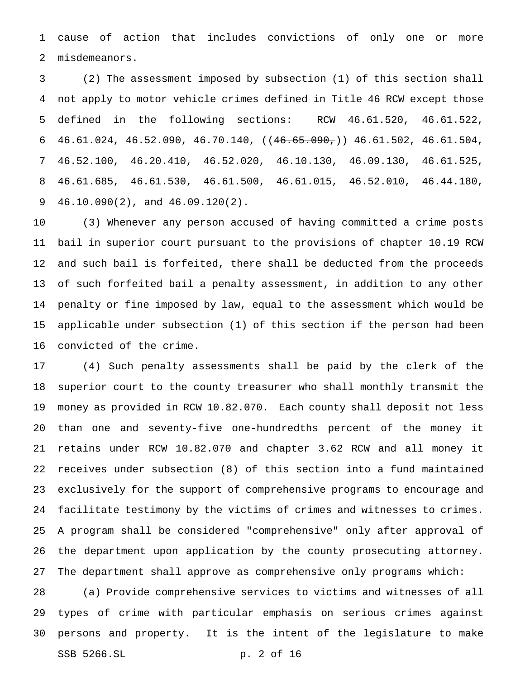cause of action that includes convictions of only one or more misdemeanors.

 (2) The assessment imposed by subsection (1) of this section shall not apply to motor vehicle crimes defined in Title 46 RCW except those defined in the following sections: RCW 46.61.520, 46.61.522, 6 46.61.024, 46.52.090, 46.70.140,  $((46.65.090, 46.61.502, 46.61.504, 46.61.504, 46.61.504, 46.61.504)$  46.52.100, 46.20.410, 46.52.020, 46.10.130, 46.09.130, 46.61.525, 46.61.685, 46.61.530, 46.61.500, 46.61.015, 46.52.010, 46.44.180, 46.10.090(2), and 46.09.120(2).

 (3) Whenever any person accused of having committed a crime posts bail in superior court pursuant to the provisions of chapter 10.19 RCW and such bail is forfeited, there shall be deducted from the proceeds of such forfeited bail a penalty assessment, in addition to any other penalty or fine imposed by law, equal to the assessment which would be applicable under subsection (1) of this section if the person had been convicted of the crime.

 (4) Such penalty assessments shall be paid by the clerk of the superior court to the county treasurer who shall monthly transmit the money as provided in RCW 10.82.070. Each county shall deposit not less than one and seventy-five one-hundredths percent of the money it retains under RCW 10.82.070 and chapter 3.62 RCW and all money it receives under subsection (8) of this section into a fund maintained exclusively for the support of comprehensive programs to encourage and facilitate testimony by the victims of crimes and witnesses to crimes. A program shall be considered "comprehensive" only after approval of the department upon application by the county prosecuting attorney. The department shall approve as comprehensive only programs which:

 (a) Provide comprehensive services to victims and witnesses of all types of crime with particular emphasis on serious crimes against persons and property. It is the intent of the legislature to make SSB 5266.SL p. 2 of 16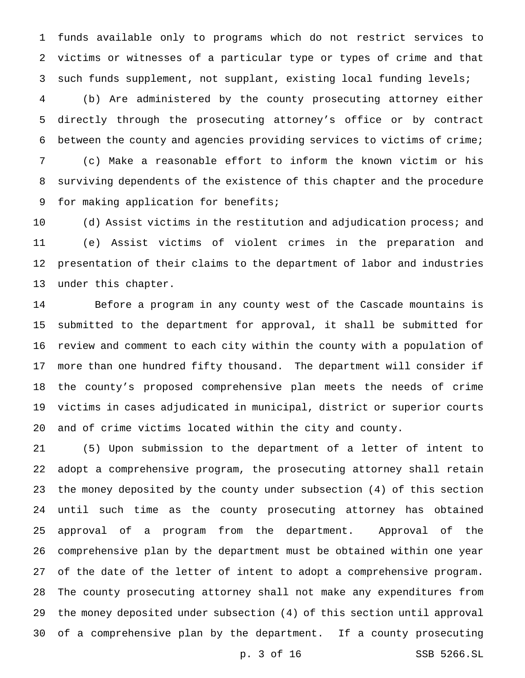funds available only to programs which do not restrict services to victims or witnesses of a particular type or types of crime and that such funds supplement, not supplant, existing local funding levels;

 (b) Are administered by the county prosecuting attorney either directly through the prosecuting attorney's office or by contract between the county and agencies providing services to victims of crime; (c) Make a reasonable effort to inform the known victim or his surviving dependents of the existence of this chapter and the procedure for making application for benefits;

 (d) Assist victims in the restitution and adjudication process; and (e) Assist victims of violent crimes in the preparation and presentation of their claims to the department of labor and industries under this chapter.

 Before a program in any county west of the Cascade mountains is submitted to the department for approval, it shall be submitted for review and comment to each city within the county with a population of more than one hundred fifty thousand. The department will consider if the county's proposed comprehensive plan meets the needs of crime victims in cases adjudicated in municipal, district or superior courts and of crime victims located within the city and county.

 (5) Upon submission to the department of a letter of intent to adopt a comprehensive program, the prosecuting attorney shall retain the money deposited by the county under subsection (4) of this section until such time as the county prosecuting attorney has obtained approval of a program from the department. Approval of the comprehensive plan by the department must be obtained within one year of the date of the letter of intent to adopt a comprehensive program. The county prosecuting attorney shall not make any expenditures from the money deposited under subsection (4) of this section until approval of a comprehensive plan by the department. If a county prosecuting

p. 3 of 16 SSB 5266.SL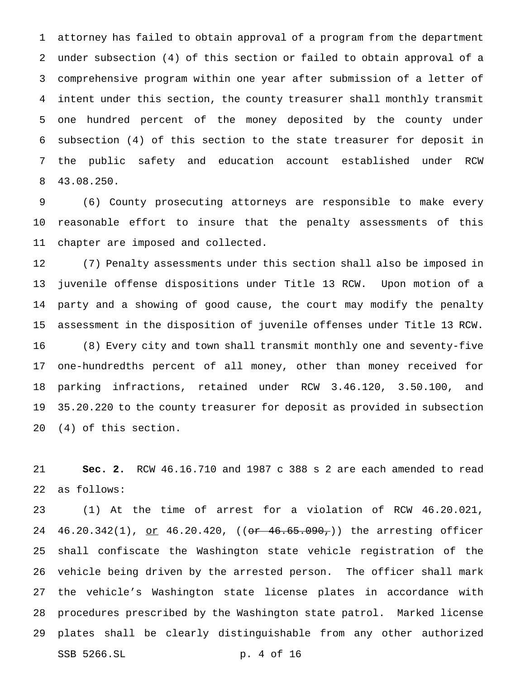attorney has failed to obtain approval of a program from the department under subsection (4) of this section or failed to obtain approval of a comprehensive program within one year after submission of a letter of intent under this section, the county treasurer shall monthly transmit one hundred percent of the money deposited by the county under subsection (4) of this section to the state treasurer for deposit in the public safety and education account established under RCW 43.08.250.

 (6) County prosecuting attorneys are responsible to make every reasonable effort to insure that the penalty assessments of this chapter are imposed and collected.

 (7) Penalty assessments under this section shall also be imposed in juvenile offense dispositions under Title 13 RCW. Upon motion of a party and a showing of good cause, the court may modify the penalty assessment in the disposition of juvenile offenses under Title 13 RCW. (8) Every city and town shall transmit monthly one and seventy-five one-hundredths percent of all money, other than money received for parking infractions, retained under RCW 3.46.120, 3.50.100, and 35.20.220 to the county treasurer for deposit as provided in subsection (4) of this section.

 **Sec. 2.** RCW 46.16.710 and 1987 c 388 s 2 are each amended to read as follows:

 (1) At the time of arrest for a violation of RCW 46.20.021, 24 46.20.342(1), <u>or</u> 46.20.420, ((<del>or 46.65.090,</del>)) the arresting officer shall confiscate the Washington state vehicle registration of the vehicle being driven by the arrested person. The officer shall mark the vehicle's Washington state license plates in accordance with procedures prescribed by the Washington state patrol. Marked license plates shall be clearly distinguishable from any other authorized SSB 5266.SL p. 4 of 16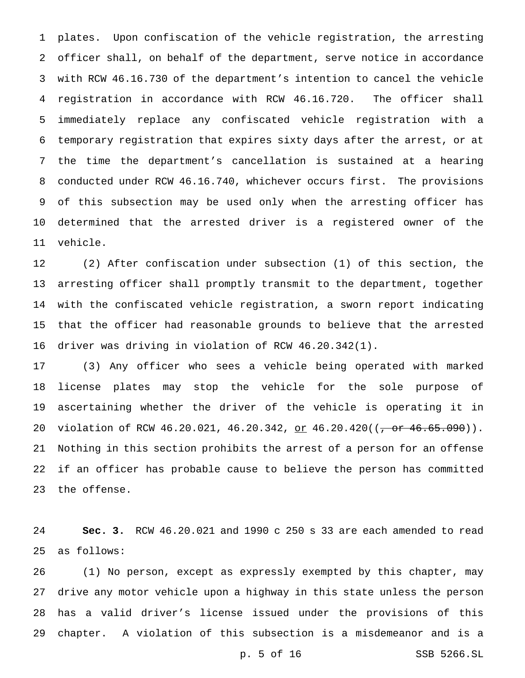plates. Upon confiscation of the vehicle registration, the arresting officer shall, on behalf of the department, serve notice in accordance with RCW 46.16.730 of the department's intention to cancel the vehicle registration in accordance with RCW 46.16.720. The officer shall immediately replace any confiscated vehicle registration with a temporary registration that expires sixty days after the arrest, or at the time the department's cancellation is sustained at a hearing conducted under RCW 46.16.740, whichever occurs first. The provisions of this subsection may be used only when the arresting officer has determined that the arrested driver is a registered owner of the vehicle.

 (2) After confiscation under subsection (1) of this section, the arresting officer shall promptly transmit to the department, together with the confiscated vehicle registration, a sworn report indicating that the officer had reasonable grounds to believe that the arrested driver was driving in violation of RCW 46.20.342(1).

 (3) Any officer who sees a vehicle being operated with marked license plates may stop the vehicle for the sole purpose of ascertaining whether the driver of the vehicle is operating it in 20 violation of RCW 46.20.021, 46.20.342, or 46.20.420((<del>, or 46.65.090</del>)). Nothing in this section prohibits the arrest of a person for an offense if an officer has probable cause to believe the person has committed the offense.

 **Sec. 3.** RCW 46.20.021 and 1990 c 250 s 33 are each amended to read as follows:

 (1) No person, except as expressly exempted by this chapter, may drive any motor vehicle upon a highway in this state unless the person has a valid driver's license issued under the provisions of this chapter. A violation of this subsection is a misdemeanor and is a

p. 5 of 16 SSB 5266.SL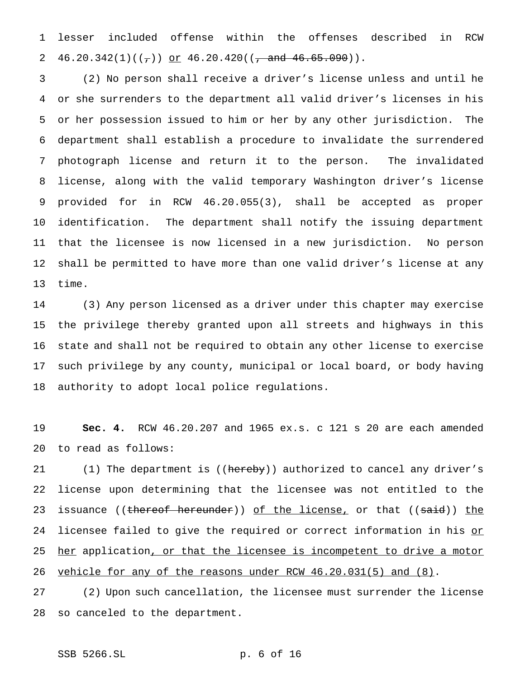lesser included offense within the offenses described in RCW 2 46.20.342(1)( $(\tau)$ ) or 46.20.420( $(\tau$  and 46.65.090)).

 (2) No person shall receive a driver's license unless and until he or she surrenders to the department all valid driver's licenses in his or her possession issued to him or her by any other jurisdiction. The department shall establish a procedure to invalidate the surrendered photograph license and return it to the person. The invalidated license, along with the valid temporary Washington driver's license provided for in RCW 46.20.055(3), shall be accepted as proper identification. The department shall notify the issuing department that the licensee is now licensed in a new jurisdiction. No person shall be permitted to have more than one valid driver's license at any time.

 (3) Any person licensed as a driver under this chapter may exercise the privilege thereby granted upon all streets and highways in this state and shall not be required to obtain any other license to exercise such privilege by any county, municipal or local board, or body having authority to adopt local police regulations.

 **Sec. 4.** RCW 46.20.207 and 1965 ex.s. c 121 s 20 are each amended to read as follows:

21 (1) The department is ((hereby)) authorized to cancel any driver's license upon determining that the licensee was not entitled to the 23 issuance ((thereof hereunder)) of the license, or that ((said)) the 24 licensee failed to give the required or correct information in his or 25 her application, or that the licensee is incompetent to drive a motor vehicle for any of the reasons under RCW 46.20.031(5) and (8).

 (2) Upon such cancellation, the licensee must surrender the license so canceled to the department.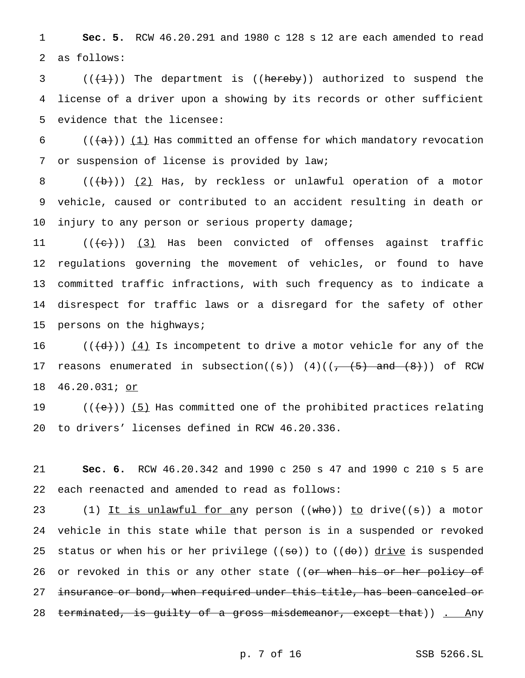1 **Sec. 5.** RCW 46.20.291 and 1980 c 128 s 12 are each amended to read 2 as follows:

3  $((+1))$  The department is ((hereby)) authorized to suspend the 4 license of a driver upon a showing by its records or other sufficient 5 evidence that the licensee:

6 ( $(\overline{\{a\}})$ ) (1) Has committed an offense for which mandatory revocation 7 or suspension of license is provided by law;

8 (((b)) (2) Has, by reckless or unlawful operation of a motor 9 vehicle, caused or contributed to an accident resulting in death or 10 injury to any person or serious property damage;

 $((+e))$   $(3)$  Has been convicted of offenses against traffic regulations governing the movement of vehicles, or found to have committed traffic infractions, with such frequency as to indicate a disrespect for traffic laws or a disregard for the safety of other persons on the highways;

16 ( $(\overline{\{d\}})$ )  $\underline{4}$  Is incompetent to drive a motor vehicle for any of the 17 reasons enumerated in subsection( $(s)$ )  $(4)((-\frac{5}{6})$  and  $(8))$  of RCW 18 46.20.031; or

19  $((+e))$  (5) Has committed one of the prohibited practices relating 20 to drivers' licenses defined in RCW 46.20.336.

21 **Sec. 6.** RCW 46.20.342 and 1990 c 250 s 47 and 1990 c 210 s 5 are 22 each reenacted and amended to read as follows:

23 (1) It is unlawful for any person ((who)) to drive((s)) a motor 24 vehicle in this state while that person is in a suspended or revoked 25 status or when his or her privilege  $((\texttt{so}))$  to  $((\texttt{do}))$  drive is suspended 26 or revoked in this or any other state ((<del>or when his or her policy of</del> 27 insurance or bond, when required under this title, has been canceled or 28 terminated, is guilty of a gross misdemeanor, except that)) . Any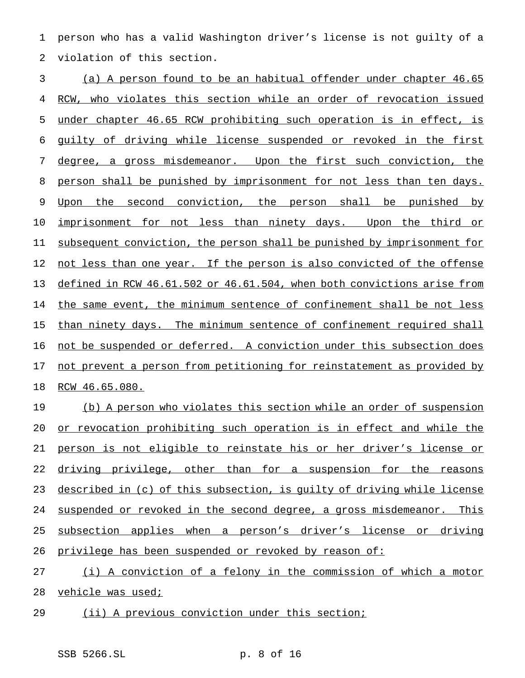person who has a valid Washington driver's license is not guilty of a violation of this section.

 (a) A person found to be an habitual offender under chapter 46.65 RCW, who violates this section while an order of revocation issued under chapter 46.65 RCW prohibiting such operation is in effect, is guilty of driving while license suspended or revoked in the first degree, a gross misdemeanor. Upon the first such conviction, the 8 person shall be punished by imprisonment for not less than ten days. 9 Upon the second conviction, the person shall be punished by 10 imprisonment for not less than ninety days. Upon the third or subsequent conviction, the person shall be punished by imprisonment for 12 not less than one year. If the person is also convicted of the offense defined in RCW 46.61.502 or 46.61.504, when both convictions arise from the same event, the minimum sentence of confinement shall be not less than ninety days. The minimum sentence of confinement required shall 16 not be suspended or deferred. A conviction under this subsection does 17 not prevent a person from petitioning for reinstatement as provided by RCW 46.65.080.

 (b) A person who violates this section while an order of suspension or revocation prohibiting such operation is in effect and while the person is not eligible to reinstate his or her driver's license or 22 driving privilege, other than for a suspension for the reasons described in (c) of this subsection, is guilty of driving while license suspended or revoked in the second degree, a gross misdemeanor. This subsection applies when a person's driver's license or driving privilege has been suspended or revoked by reason of:

 (i) A conviction of a felony in the commission of which a motor 28 vehicle was used;

(ii) A previous conviction under this section;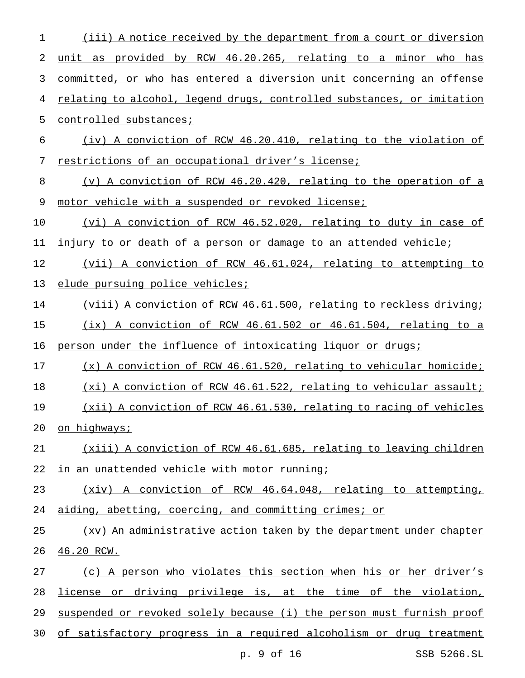(iii) A notice received by the department from a court or diversion unit as provided by RCW 46.20.265, relating to a minor who has committed, or who has entered a diversion unit concerning an offense relating to alcohol, legend drugs, controlled substances, or imitation controlled substances; (iv) A conviction of RCW 46.20.410, relating to the violation of restrictions of an occupational driver's license; (v) A conviction of RCW 46.20.420, relating to the operation of a 9 motor vehicle with a suspended or revoked license; (vi) A conviction of RCW 46.52.020, relating to duty in case of 11 injury to or death of a person or damage to an attended vehicle; (vii) A conviction of RCW 46.61.024, relating to attempting to elude pursuing police vehicles; (viii) A conviction of RCW 46.61.500, relating to reckless driving; (ix) A conviction of RCW 46.61.502 or 46.61.504, relating to a person under the influence of intoxicating liquor or drugs; (x) A conviction of RCW 46.61.520, relating to vehicular homicide; (xi) A conviction of RCW 46.61.522, relating to vehicular assault; (xii) A conviction of RCW 46.61.530, relating to racing of vehicles 20 on highways; (xiii) A conviction of RCW 46.61.685, relating to leaving children in an unattended vehicle with motor running; (xiv) A conviction of RCW 46.64.048, relating to attempting, aiding, abetting, coercing, and committing crimes; or (xv) An administrative action taken by the department under chapter 46.20 RCW. (c) A person who violates this section when his or her driver's license or driving privilege is, at the time of the violation, suspended or revoked solely because (i) the person must furnish proof of satisfactory progress in a required alcoholism or drug treatment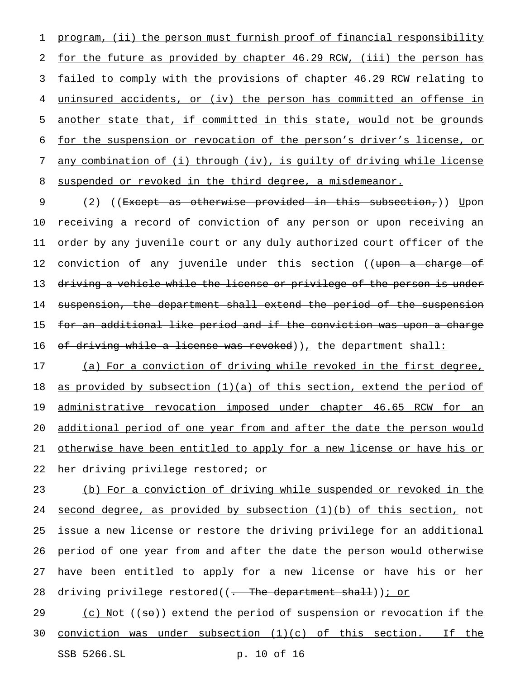program, (ii) the person must furnish proof of financial responsibility for the future as provided by chapter 46.29 RCW, (iii) the person has failed to comply with the provisions of chapter 46.29 RCW relating to uninsured accidents, or (iv) the person has committed an offense in 5 <u>another state that, if committed in this state, would not be grounds</u> for the suspension or revocation of the person's driver's license, or any combination of (i) through (iv), is guilty of driving while license suspended or revoked in the third degree, a misdemeanor.

9 (2) ((Except as otherwise provided in this subsection,)) Upon receiving a record of conviction of any person or upon receiving an order by any juvenile court or any duly authorized court officer of the 12 conviction of any juvenile under this section ((upon a charge of 13 driving a vehicle while the license or privilege of the person is under suspension, the department shall extend the period of the suspension for an additional like period and if the conviction was upon a charge 16 of driving while a license was revoked)), the department shall:

17 (a) For a conviction of driving while revoked in the first degree, 18 as provided by subsection  $(1)(a)$  of this section, extend the period of 19 administrative revocation imposed under chapter 46.65 RCW for an additional period of one year from and after the date the person would otherwise have been entitled to apply for a new license or have his or her driving privilege restored; or

 (b) For a conviction of driving while suspended or revoked in the 24 second degree, as provided by subsection  $(1)(b)$  of this section, not issue a new license or restore the driving privilege for an additional period of one year from and after the date the person would otherwise have been entitled to apply for a new license or have his or her 28 driving privilege restored((. The department shall)); or

29 (c) Not  $(50)$  extend the period of suspension or revocation if the conviction was under subsection (1)(c) of this section. If the

SSB 5266.SL p. 10 of 16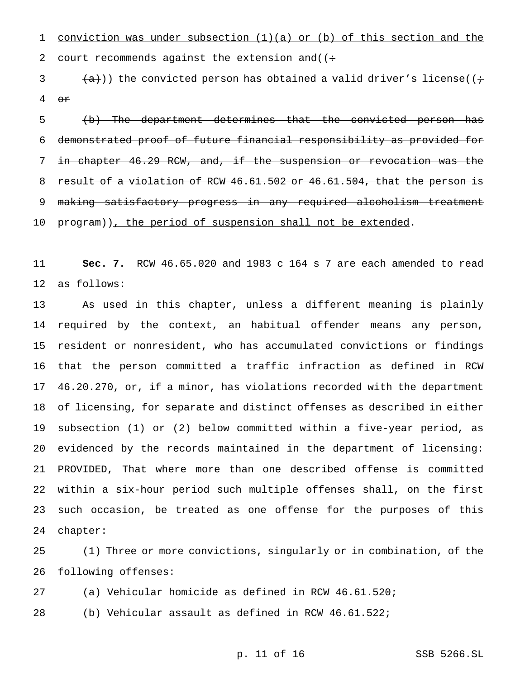conviction was under subsection (1)(a) or (b) of this section and the 2 court recommends against the extension and  $($  :

3  $(\alpha)$ )) the convicted person has obtained a valid driver's license(( $\div$ or

 (b) The department determines that the convicted person has demonstrated proof of future financial responsibility as provided for in chapter 46.29 RCW, and, if the suspension or revocation was the 8 result of a violation of RCW 46.61.502 or 46.61.504, that the person is making satisfactory progress in any required alcoholism treatment 10 program)), the period of suspension shall not be extended.

 **Sec. 7.** RCW 46.65.020 and 1983 c 164 s 7 are each amended to read as follows:

 As used in this chapter, unless a different meaning is plainly required by the context, an habitual offender means any person, resident or nonresident, who has accumulated convictions or findings that the person committed a traffic infraction as defined in RCW 46.20.270, or, if a minor, has violations recorded with the department of licensing, for separate and distinct offenses as described in either subsection (1) or (2) below committed within a five-year period, as evidenced by the records maintained in the department of licensing: PROVIDED, That where more than one described offense is committed within a six-hour period such multiple offenses shall, on the first such occasion, be treated as one offense for the purposes of this chapter:

 (1) Three or more convictions, singularly or in combination, of the following offenses:

(a) Vehicular homicide as defined in RCW 46.61.520;

(b) Vehicular assault as defined in RCW 46.61.522;

p. 11 of 16 SSB 5266.SL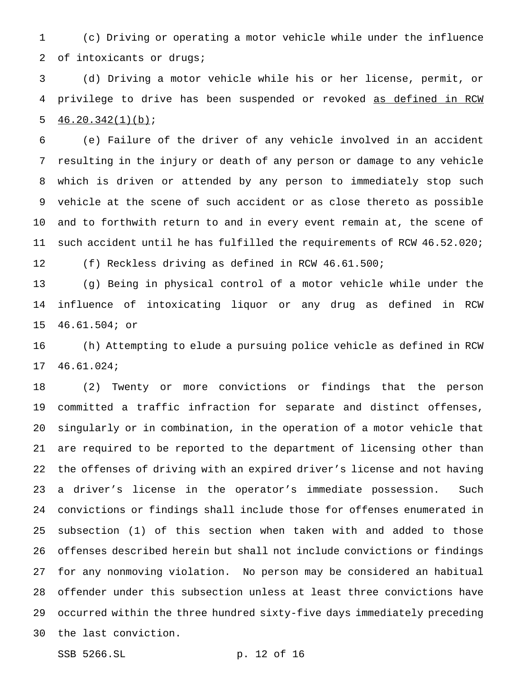(c) Driving or operating a motor vehicle while under the influence 2 of intoxicants or drugs;

 (d) Driving a motor vehicle while his or her license, permit, or privilege to drive has been suspended or revoked as defined in RCW 5  $46.20.342(1)(b)$ ;

 (e) Failure of the driver of any vehicle involved in an accident resulting in the injury or death of any person or damage to any vehicle which is driven or attended by any person to immediately stop such vehicle at the scene of such accident or as close thereto as possible and to forthwith return to and in every event remain at, the scene of such accident until he has fulfilled the requirements of RCW 46.52.020; (f) Reckless driving as defined in RCW 46.61.500;

 (g) Being in physical control of a motor vehicle while under the influence of intoxicating liquor or any drug as defined in RCW 46.61.504; or

 (h) Attempting to elude a pursuing police vehicle as defined in RCW 46.61.024;

 (2) Twenty or more convictions or findings that the person committed a traffic infraction for separate and distinct offenses, singularly or in combination, in the operation of a motor vehicle that are required to be reported to the department of licensing other than the offenses of driving with an expired driver's license and not having a driver's license in the operator's immediate possession. Such convictions or findings shall include those for offenses enumerated in subsection (1) of this section when taken with and added to those offenses described herein but shall not include convictions or findings for any nonmoving violation. No person may be considered an habitual offender under this subsection unless at least three convictions have occurred within the three hundred sixty-five days immediately preceding the last conviction.

SSB 5266.SL p. 12 of 16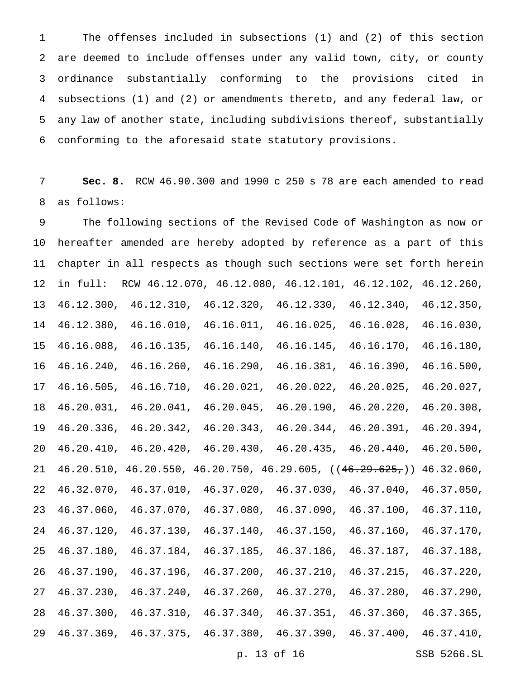The offenses included in subsections (1) and (2) of this section are deemed to include offenses under any valid town, city, or county ordinance substantially conforming to the provisions cited in subsections (1) and (2) or amendments thereto, and any federal law, or any law of another state, including subdivisions thereof, substantially conforming to the aforesaid state statutory provisions.

 **Sec. 8.** RCW 46.90.300 and 1990 c 250 s 78 are each amended to read as follows:

 The following sections of the Revised Code of Washington as now or hereafter amended are hereby adopted by reference as a part of this chapter in all respects as though such sections were set forth herein in full: RCW 46.12.070, 46.12.080, 46.12.101, 46.12.102, 46.12.260, 46.12.300, 46.12.310, 46.12.320, 46.12.330, 46.12.340, 46.12.350, 46.12.380, 46.16.010, 46.16.011, 46.16.025, 46.16.028, 46.16.030, 46.16.088, 46.16.135, 46.16.140, 46.16.145, 46.16.170, 46.16.180, 46.16.240, 46.16.260, 46.16.290, 46.16.381, 46.16.390, 46.16.500, 46.16.505, 46.16.710, 46.20.021, 46.20.022, 46.20.025, 46.20.027, 46.20.031, 46.20.041, 46.20.045, 46.20.190, 46.20.220, 46.20.308, 46.20.336, 46.20.342, 46.20.343, 46.20.344, 46.20.391, 46.20.394, 46.20.410, 46.20.420, 46.20.430, 46.20.435, 46.20.440, 46.20.500, 46.20.510, 46.20.550, 46.20.750, 46.29.605, ((46.29.625,)) 46.32.060, 46.32.070, 46.37.010, 46.37.020, 46.37.030, 46.37.040, 46.37.050, 46.37.060, 46.37.070, 46.37.080, 46.37.090, 46.37.100, 46.37.110, 46.37.120, 46.37.130, 46.37.140, 46.37.150, 46.37.160, 46.37.170, 46.37.180, 46.37.184, 46.37.185, 46.37.186, 46.37.187, 46.37.188, 46.37.190, 46.37.196, 46.37.200, 46.37.210, 46.37.215, 46.37.220, 46.37.230, 46.37.240, 46.37.260, 46.37.270, 46.37.280, 46.37.290, 46.37.300, 46.37.310, 46.37.340, 46.37.351, 46.37.360, 46.37.365, 46.37.369, 46.37.375, 46.37.380, 46.37.390, 46.37.400, 46.37.410,

p. 13 of 16 SSB 5266.SL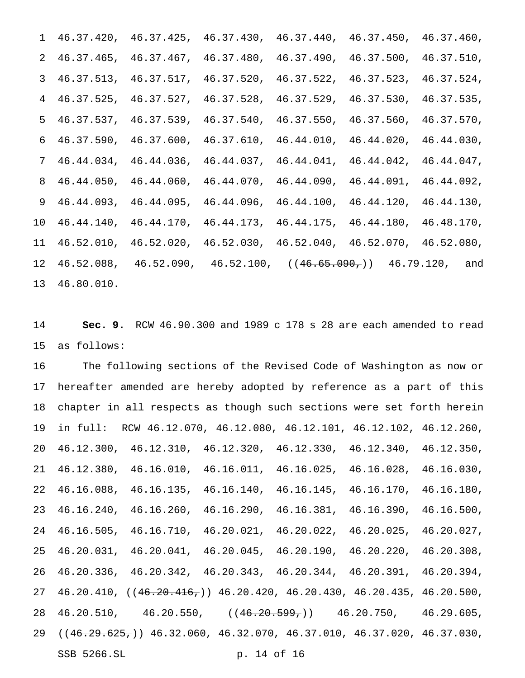|               | 1 46.37.420, 46.37.425, 46.37.430, 46.37.440, 46.37.450, 46.37.460,           |  |  |
|---------------|-------------------------------------------------------------------------------|--|--|
|               | 2 46.37.465, 46.37.467, 46.37.480, 46.37.490, 46.37.500, 46.37.510,           |  |  |
|               | 3 46.37.513, 46.37.517, 46.37.520, 46.37.522, 46.37.523, 46.37.524,           |  |  |
|               | 4 46.37.525, 46.37.527, 46.37.528, 46.37.529, 46.37.530, 46.37.535,           |  |  |
|               | 5 46.37.537, 46.37.539, 46.37.540, 46.37.550, 46.37.560, 46.37.570,           |  |  |
|               | $6$ 46.37.590, 46.37.600, 46.37.610, 46.44.010, 46.44.020, 46.44.030,         |  |  |
|               | 7 46.44.034, 46.44.036, 46.44.037, 46.44.041, 46.44.042, 46.44.047,           |  |  |
|               | 8 46.44.050, 46.44.060, 46.44.070, 46.44.090, 46.44.091, 46.44.092,           |  |  |
|               | 9 46.44.093, 46.44.095, 46.44.096, 46.44.100, 46.44.120, 46.44.130,           |  |  |
|               | 10 46.44.140, 46.44.170, 46.44.173, 46.44.175, 46.44.180, 46.48.170,          |  |  |
|               | 11 46.52.010, 46.52.020, 46.52.030, 46.52.040, 46.52.070, 46.52.080,          |  |  |
|               | 12  46.52.088,  46.52.090,  46.52.100, $((46.65.090, 46.79.120, \text{ and})$ |  |  |
| 13 46.80.010. |                                                                               |  |  |

 **Sec. 9.** RCW 46.90.300 and 1989 c 178 s 28 are each amended to read as follows:

 The following sections of the Revised Code of Washington as now or hereafter amended are hereby adopted by reference as a part of this chapter in all respects as though such sections were set forth herein in full: RCW 46.12.070, 46.12.080, 46.12.101, 46.12.102, 46.12.260, 46.12.300, 46.12.310, 46.12.320, 46.12.330, 46.12.340, 46.12.350, 46.12.380, 46.16.010, 46.16.011, 46.16.025, 46.16.028, 46.16.030, 46.16.088, 46.16.135, 46.16.140, 46.16.145, 46.16.170, 46.16.180, 46.16.240, 46.16.260, 46.16.290, 46.16.381, 46.16.390, 46.16.500, 46.16.505, 46.16.710, 46.20.021, 46.20.022, 46.20.025, 46.20.027, 46.20.031, 46.20.041, 46.20.045, 46.20.190, 46.20.220, 46.20.308, 46.20.336, 46.20.342, 46.20.343, 46.20.344, 46.20.391, 46.20.394, 46.20.410, ((46.20.416,)) 46.20.420, 46.20.430, 46.20.435, 46.20.500, 28 46.20.510, 46.20.550,  $((46.20.599,))$  46.20.750, 46.29.605, ((46.29.625,)) 46.32.060, 46.32.070, 46.37.010, 46.37.020, 46.37.030, SSB 5266.SL p. 14 of 16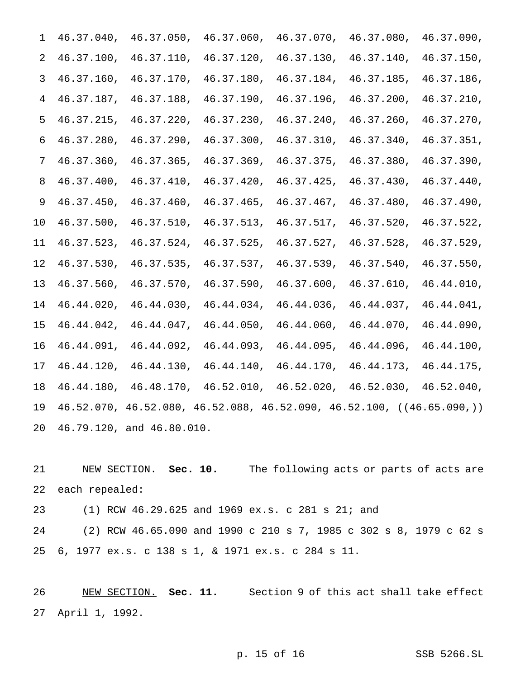| 1    | 46.37.040, | 46.37.050,                                                              | 46.37.060, | 46.37.070, | 46.37.080, | 46.37.090, |  |
|------|------------|-------------------------------------------------------------------------|------------|------------|------------|------------|--|
| 2    | 46.37.100, | 46.37.110,                                                              | 46.37.120, | 46.37.130, | 46.37.140, | 46.37.150, |  |
| 3    | 46.37.160, | 46.37.170,                                                              | 46.37.180, | 46.37.184, | 46.37.185, | 46.37.186, |  |
| 4    | 46.37.187, | 46.37.188,                                                              | 46.37.190, | 46.37.196, | 46.37.200, | 46.37.210, |  |
| 5    | 46.37.215, | 46.37.220,                                                              | 46.37.230, | 46.37.240, | 46.37.260, | 46.37.270, |  |
| 6    | 46.37.280, | 46.37.290,                                                              | 46.37.300, | 46.37.310, | 46.37.340, | 46.37.351, |  |
| 7    | 46.37.360, | 46.37.365,                                                              | 46.37.369, | 46.37.375, | 46.37.380, | 46.37.390, |  |
| 8    | 46.37.400, | 46.37.410,                                                              | 46.37.420, | 46.37.425, | 46.37.430, | 46.37.440, |  |
| 9    | 46.37.450, | 46.37.460,                                                              | 46.37.465, | 46.37.467, | 46.37.480, | 46.37.490, |  |
| $10$ | 46.37.500, | 46.37.510,                                                              | 46.37.513, | 46.37.517, | 46.37.520, | 46.37.522, |  |
| 11   | 46.37.523, | 46.37.524,                                                              | 46.37.525, | 46.37.527, | 46.37.528, | 46.37.529, |  |
| 12   | 46.37.530, | 46.37.535,                                                              | 46.37.537, | 46.37.539, | 46.37.540, | 46.37.550, |  |
| 13   | 46.37.560, | 46.37.570,                                                              | 46.37.590, | 46.37.600, | 46.37.610, | 46.44.010, |  |
| 14   | 46.44.020, | 46.44.030,                                                              | 46.44.034, | 46.44.036, | 46.44.037, | 46.44.041, |  |
| 15   | 46.44.042, | 46.44.047,                                                              | 46.44.050, | 46.44.060, | 46.44.070, | 46.44.090, |  |
| 16   | 46.44.091, | 46.44.092,                                                              | 46.44.093, | 46.44.095, | 46.44.096, | 46.44.100, |  |
| 17   | 46.44.120, | 46.44.130,                                                              | 46.44.140, | 46.44.170, | 46.44.173, | 46.44.175, |  |
| 18   | 46.44.180, | 46.48.170,                                                              | 46.52.010, | 46.52.020, | 46.52.030, | 46.52.040, |  |
| 19   |            | $46.52.070, 46.52.080, 46.52.088, 46.52.090, 46.52.100, ((46.65.090.))$ |            |            |            |            |  |
| 20   |            | 46.79.120, and 46.80.010.                                               |            |            |            |            |  |

 NEW SECTION. **Sec. 10.** The following acts or parts of acts are each repealed:

(1) RCW 46.29.625 and 1969 ex.s. c 281 s 21; and

 (2) RCW 46.65.090 and 1990 c 210 s 7, 1985 c 302 s 8, 1979 c 62 s 6, 1977 ex.s. c 138 s 1, & 1971 ex.s. c 284 s 11.

 NEW SECTION. **Sec. 11.** Section 9 of this act shall take effect April 1, 1992.